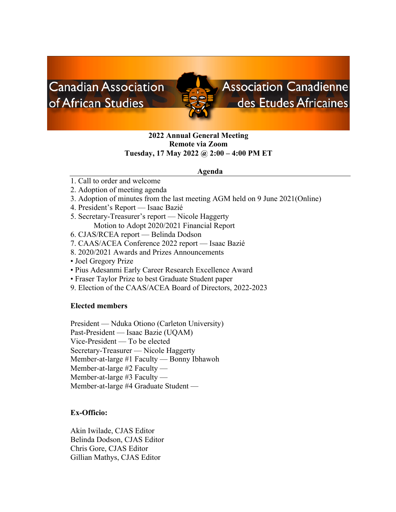# **Canadian Association** of African Studies

# **Association Canadienne** des Etudes Africaines

## **2022 Annual General Meeting Remote via Zoom Tuesday, 17 May 2022 @ 2:00 – 4:00 PM ET**

## **Agenda**

- 1. Call to order and welcome
- 2. Adoption of meeting agenda
- 3. Adoption of minutes from the last meeting AGM held on 9 June 2021(Online)
- 4. President's Report Isaac Bazié
- 5. Secretary-Treasurer's report Nicole Haggerty Motion to Adopt 2020/2021 Financial Report
- 6. CJAS/RCEA report Belinda Dodson
- 7. CAAS/ACEA Conference 2022 report Isaac Bazié
- 8. 2020/2021 Awards and Prizes Announcements
- Joel Gregory Prize
- Pius Adesanmi Early Career Research Excellence Award
- Fraser Taylor Prize to best Graduate Student paper
- 9. Election of the CAAS/ACEA Board of Directors, 2022-2023

## **Elected members**

President — Nduka Otiono (Carleton University) Past-President — Isaac Bazie (UQAM) Vice-President — To be elected Secretary-Treasurer — Nicole Haggerty Member-at-large #1 Faculty — Bonny Ibhawoh Member-at-large #2 Faculty — Member-at-large #3 Faculty — Member-at-large #4 Graduate Student —

## **Ex-Officio:**

Akin Iwilade, CJAS Editor Belinda Dodson, CJAS Editor Chris Gore, CJAS Editor Gillian Mathys, CJAS Editor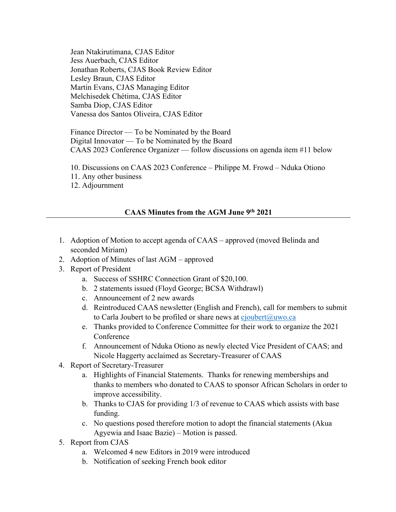Jean Ntakirutimana, CJAS Editor Jess Auerbach, CJAS Editor Jonathan Roberts, CJAS Book Review Editor Lesley Braun, CJAS Editor Martin Evans, CJAS Managing Editor Melchisedek Chétima, CJAS Editor Samba Diop, CJAS Editor Vanessa dos Santos Oliveira, CJAS Editor

Finance Director — To be Nominated by the Board Digital Innovator — To be Nominated by the Board CAAS 2023 Conference Organizer — follow discussions on agenda item #11 below

- 10. Discussions on CAAS 2023 Conference Philippe M. Frowd Nduka Otiono
- 11. Any other business
- 12. Adjournment

## **CAAS Minutes from the AGM June 9th 2021**

- 1. Adoption of Motion to accept agenda of CAAS approved (moved Belinda and seconded Miriam)
- 2. Adoption of Minutes of last AGM approved
- 3. Report of President
	- a. Success of SSHRC Connection Grant of \$20,100.
	- b. 2 statements issued (Floyd George; BCSA Withdrawl)
	- c. Announcement of 2 new awards
	- d. Reintroduced CAAS newsletter (English and French), call for members to submit to Carla Joubert to be profiled or share news at cjoubert@uwo.ca
	- e. Thanks provided to Conference Committee for their work to organize the 2021 Conference
	- f. Announcement of Nduka Otiono as newly elected Vice President of CAAS; and Nicole Haggerty acclaimed as Secretary-Treasurer of CAAS
- 4. Report of Secretary-Treasurer
	- a. Highlights of Financial Statements. Thanks for renewing memberships and thanks to members who donated to CAAS to sponsor African Scholars in order to improve accessibility.
	- b. Thanks to CJAS for providing 1/3 of revenue to CAAS which assists with base funding.
	- c. No questions posed therefore motion to adopt the financial statements (Akua Agyewia and Isaac Bazie) – Motion is passed.
- 5. Report from CJAS
	- a. Welcomed 4 new Editors in 2019 were introduced
	- b. Notification of seeking French book editor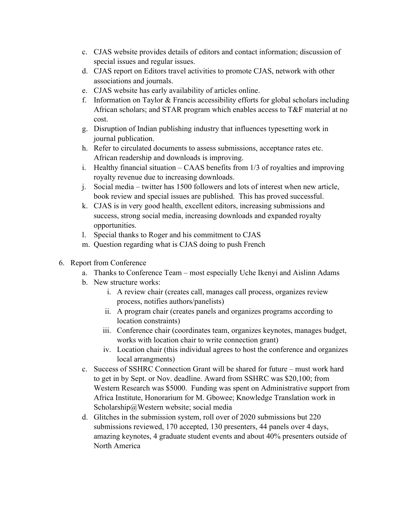- c. CJAS website provides details of editors and contact information; discussion of special issues and regular issues.
- d. CJAS report on Editors travel activities to promote CJAS, network with other associations and journals.
- e. CJAS website has early availability of articles online.
- f. Information on Taylor & Francis accessibility efforts for global scholars including African scholars; and STAR program which enables access to T&F material at no cost.
- g. Disruption of Indian publishing industry that influences typesetting work in journal publication.
- h. Refer to circulated documents to assess submissions, acceptance rates etc. African readership and downloads is improving.
- i. Healthy financial situation CAAS benefits from 1/3 of royalties and improving royalty revenue due to increasing downloads.
- j. Social media twitter has 1500 followers and lots of interest when new article, book review and special issues are published. This has proved successful.
- k. CJAS is in very good health, excellent editors, increasing submissions and success, strong social media, increasing downloads and expanded royalty opportunities.
- l. Special thanks to Roger and his commitment to CJAS
- m. Question regarding what is CJAS doing to push French
- 6. Report from Conference
	- a. Thanks to Conference Team most especially Uche Ikenyi and Aislinn Adams
	- b. New structure works:
		- i. A review chair (creates call, manages call process, organizes review process, notifies authors/panelists)
		- ii. A program chair (creates panels and organizes programs according to location constraints)
		- iii. Conference chair (coordinates team, organizes keynotes, manages budget, works with location chair to write connection grant)
		- iv. Location chair (this individual agrees to host the conference and organizes local arrangments)
	- c. Success of SSHRC Connection Grant will be shared for future must work hard to get in by Sept. or Nov. deadline. Award from SSHRC was \$20,100; from Western Research was \$5000. Funding was spent on Administrative support from Africa Institute, Honorarium for M. Gbowee; Knowledge Translation work in Scholarship@Western website; social media
	- d. Glitches in the submission system, roll over of 2020 submissions but 220 submissions reviewed, 170 accepted, 130 presenters, 44 panels over 4 days, amazing keynotes, 4 graduate student events and about 40% presenters outside of North America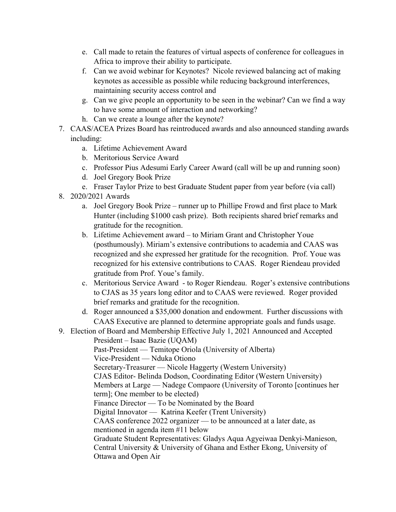- e. Call made to retain the features of virtual aspects of conference for colleagues in Africa to improve their ability to participate.
- f. Can we avoid webinar for Keynotes? Nicole reviewed balancing act of making keynotes as accessible as possible while reducing background interferences, maintaining security access control and
- g. Can we give people an opportunity to be seen in the webinar? Can we find a way to have some amount of interaction and networking?
- h. Can we create a lounge after the keynote?
- 7. CAAS/ACEA Prizes Board has reintroduced awards and also announced standing awards including:
	- a. Lifetime Achievement Award
	- b. Meritorious Service Award
	- c. Professor Pius Adesumi Early Career Award (call will be up and running soon)
	- d. Joel Gregory Book Prize
	- e. Fraser Taylor Prize to best Graduate Student paper from year before (via call)
- 8. 2020/2021 Awards
	- a. Joel Gregory Book Prize runner up to Phillipe Frowd and first place to Mark Hunter (including \$1000 cash prize). Both recipients shared brief remarks and gratitude for the recognition.
	- b. Lifetime Achievement award to Miriam Grant and Christopher Youe (posthumously). Miriam's extensive contributions to academia and CAAS was recognized and she expressed her gratitude for the recognition. Prof. Youe was recognized for his extensive contributions to CAAS. Roger Riendeau provided gratitude from Prof. Youe's family.
	- c. Meritorious Service Award to Roger Riendeau. Roger's extensive contributions to CJAS as 35 years long editor and to CAAS were reviewed. Roger provided brief remarks and gratitude for the recognition.
	- d. Roger announced a \$35,000 donation and endowment. Further discussions with CAAS Executive are planned to determine appropriate goals and funds usage.
- 9. Election of Board and Membership Effective July 1, 2021 Announced and Accepted

President – Isaac Bazie (UQAM) Past-President — Temitope Oriola (University of Alberta) Vice-President — Nduka Otiono Secretary-Treasurer — Nicole Haggerty (Western University) CJAS Editor- Belinda Dodson, Coordinating Editor (Western University) Members at Large — Nadege Compaore (University of Toronto [continues her term]; One member to be elected) Finance Director — To be Nominated by the Board Digital Innovator — Katrina Keefer (Trent University) CAAS conference 2022 organizer — to be announced at a later date, as mentioned in agenda item #11 below Graduate Student Representatives: Gladys Aqua Agyeiwaa Denkyi-Manieson, Central University & University of Ghana and Esther Ekong, University of Ottawa and Open Air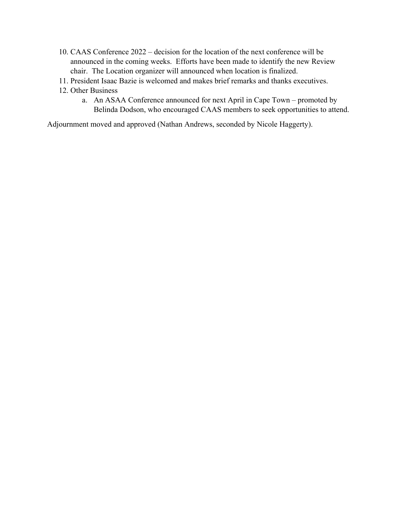- 10. CAAS Conference 2022 decision for the location of the next conference will be announced in the coming weeks. Efforts have been made to identify the new Review chair. The Location organizer will announced when location is finalized.
- 11. President Isaac Bazie is welcomed and makes brief remarks and thanks executives.
- 12. Other Business
	- a. An ASAA Conference announced for next April in Cape Town promoted by Belinda Dodson, who encouraged CAAS members to seek opportunities to attend.

Adjournment moved and approved (Nathan Andrews, seconded by Nicole Haggerty).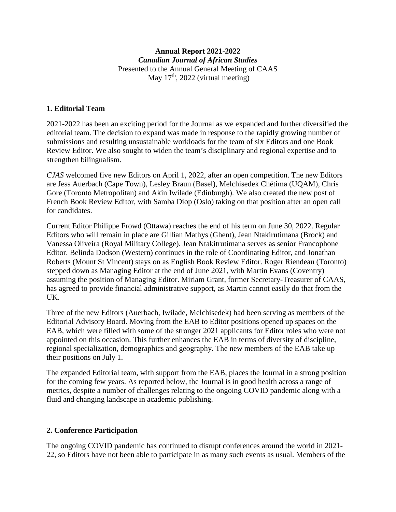## **Annual Report 2021-2022** *Canadian Journal of African Studies* Presented to the Annual General Meeting of CAAS May  $17<sup>th</sup>$ , 2022 (virtual meeting)

## **1. Editorial Team**

2021-2022 has been an exciting period for the Journal as we expanded and further diversified the editorial team. The decision to expand was made in response to the rapidly growing number of submissions and resulting unsustainable workloads for the team of six Editors and one Book Review Editor. We also sought to widen the team's disciplinary and regional expertise and to strengthen bilingualism.

*CJAS* welcomed five new Editors on April 1, 2022, after an open competition. The new Editors are Jess Auerbach (Cape Town), Lesley Braun (Basel), Melchisedek Chétima (UQAM), Chris Gore (Toronto Metropolitan) and Akin Iwilade (Edinburgh). We also created the new post of French Book Review Editor, with Samba Diop (Oslo) taking on that position after an open call for candidates.

Current Editor Philippe Frowd (Ottawa) reaches the end of his term on June 30, 2022. Regular Editors who will remain in place are Gillian Mathys (Ghent), Jean Ntakirutimana (Brock) and Vanessa Oliveira (Royal Military College). Jean Ntakitrutimana serves as senior Francophone Editor. Belinda Dodson (Western) continues in the role of Coordinating Editor, and Jonathan Roberts (Mount St Vincent) stays on as English Book Review Editor. Roger Riendeau (Toronto) stepped down as Managing Editor at the end of June 2021, with Martin Evans (Coventry) assuming the position of Managing Editor. Miriam Grant, former Secretary-Treasurer of CAAS, has agreed to provide financial administrative support, as Martin cannot easily do that from the UK.

Three of the new Editors (Auerbach, Iwilade, Melchisedek) had been serving as members of the Editorial Advisory Board. Moving from the EAB to Editor positions opened up spaces on the EAB, which were filled with some of the stronger 2021 applicants for Editor roles who were not appointed on this occasion. This further enhances the EAB in terms of diversity of discipline, regional specialization, demographics and geography. The new members of the EAB take up their positions on July 1.

The expanded Editorial team, with support from the EAB, places the Journal in a strong position for the coming few years. As reported below, the Journal is in good health across a range of metrics, despite a number of challenges relating to the ongoing COVID pandemic along with a fluid and changing landscape in academic publishing.

## **2. Conference Participation**

The ongoing COVID pandemic has continued to disrupt conferences around the world in 2021- 22, so Editors have not been able to participate in as many such events as usual. Members of the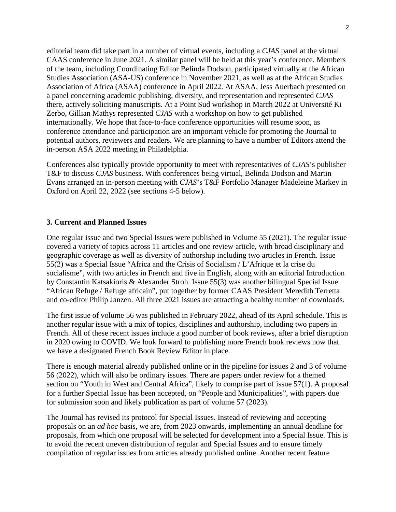editorial team did take part in a number of virtual events, including a *CJAS* panel at the virtual CAAS conference in June 2021. A similar panel will be held at this year's conference. Members of the team, including Coordinating Editor Belinda Dodson, participated virtually at the African Studies Association (ASA-US) conference in November 2021, as well as at the African Studies Association of Africa (ASAA) conference in April 2022. At ASAA, Jess Auerbach presented on a panel concerning academic publishing, diversity, and representation and represented *CJAS* there, actively soliciting manuscripts. At a Point Sud workshop in March 2022 at Université Ki Zerbo, Gillian Mathys represented *CJAS* with a workshop on how to get published internationally. We hope that face-to-face conference opportunities will resume soon, as conference attendance and participation are an important vehicle for promoting the Journal to potential authors, reviewers and readers. We are planning to have a number of Editors attend the in-person ASA 2022 meeting in Philadelphia.

Conferences also typically provide opportunity to meet with representatives of *CJAS*'s publisher T&F to discuss *CJAS* business. With conferences being virtual, Belinda Dodson and Martin Evans arranged an in-person meeting with *CJAS*'s T&F Portfolio Manager Madeleine Markey in Oxford on April 22, 2022 (see sections 4-5 below).

## **3. Current and Planned Issues**

One regular issue and two Special Issues were published in Volume 55 (2021). The regular issue covered a variety of topics across 11 articles and one review article, with broad disciplinary and geographic coverage as well as diversity of authorship including two articles in French. Issue 55(2) was a Special Issue "Africa and the Crisis of Socialism / L'Afrique et la crise du socialisme", with two articles in French and five in English, along with an editorial Introduction by Constantin Katsakioris & Alexander Stroh. Issue 55(3) was another bilingual Special Issue "African Refuge / Refuge africain", put together by former CAAS President Meredith Terretta and co-editor Philip Janzen. All three 2021 issues are attracting a healthy number of downloads.

The first issue of volume 56 was published in February 2022, ahead of its April schedule. This is another regular issue with a mix of topics, disciplines and authorship, including two papers in French. All of these recent issues include a good number of book reviews, after a brief disruption in 2020 owing to COVID. We look forward to publishing more French book reviews now that we have a designated French Book Review Editor in place.

There is enough material already published online or in the pipeline for issues 2 and 3 of volume 56 (2022), which will also be ordinary issues. There are papers under review for a themed section on "Youth in West and Central Africa", likely to comprise part of issue 57(1). A proposal for a further Special Issue has been accepted, on "People and Municipalities", with papers due for submission soon and likely publication as part of volume 57 (2023).

The Journal has revised its protocol for Special Issues. Instead of reviewing and accepting proposals on an *ad hoc* basis, we are, from 2023 onwards, implementing an annual deadline for proposals, from which one proposal will be selected for development into a Special Issue. This is to avoid the recent uneven distribution of regular and Special Issues and to ensure timely compilation of regular issues from articles already published online. Another recent feature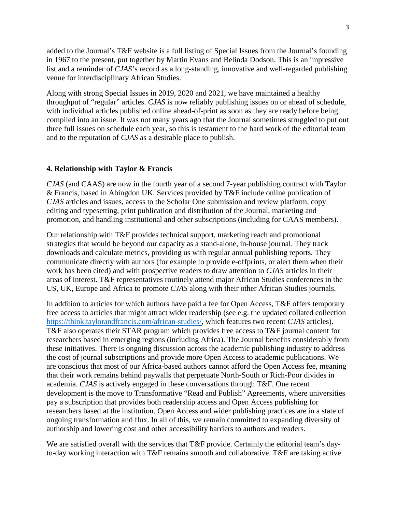added to the Journal's T&F website is a full listing of Special Issues from the Journal's founding in 1967 to the present, put together by Martin Evans and Belinda Dodson. This is an impressive list and a reminder of *CJAS*'s record as a long-standing, innovative and well-regarded publishing venue for interdisciplinary African Studies.

Along with strong Special Issues in 2019, 2020 and 2021, we have maintained a healthy throughput of "regular" articles. *CJAS* is now reliably publishing issues on or ahead of schedule, with individual articles published online ahead-of-print as soon as they are ready before being compiled into an issue. It was not many years ago that the Journal sometimes struggled to put out three full issues on schedule each year, so this is testament to the hard work of the editorial team and to the reputation of *CJAS* as a desirable place to publish.

#### **4. Relationship with Taylor & Francis**

*CJAS* (and CAAS) are now in the fourth year of a second 7-year publishing contract with Taylor & Francis, based in Abingdon UK. Services provided by T&F include online publication of *CJAS* articles and issues, access to the Scholar One submission and review platform, copy editing and typesetting, print publication and distribution of the Journal, marketing and promotion, and handling institutional and other subscriptions (including for CAAS members).

Our relationship with T&F provides technical support, marketing reach and promotional strategies that would be beyond our capacity as a stand-alone, in-house journal. They track downloads and calculate metrics, providing us with regular annual publishing reports. They communicate directly with authors (for example to provide e-offprints, or alert them when their work has been cited) and with prospective readers to draw attention to *CJAS* articles in their areas of interest. T&F representatives routinely attend major African Studies conferences in the US, UK, Europe and Africa to promote *CJAS* along with their other African Studies journals.

In addition to articles for which authors have paid a fee for Open Access, T&F offers temporary free access to articles that might attract wider readership (see e.g. the updated collated collection [https://think.taylorandfrancis.com/african-studies/,](https://think.taylorandfrancis.com/african-studies/) which features two recent *CJAS* articles). T&F also operates their STAR program which provides free access to T&F journal content for researchers based in emerging regions (including Africa). The Journal benefits considerably from these initiatives. There is ongoing discussion across the academic publishing industry to address the cost of journal subscriptions and provide more Open Access to academic publications. We are conscious that most of our Africa-based authors cannot afford the Open Access fee, meaning that their work remains behind paywalls that perpetuate North-South or Rich-Poor divides in academia. *CJAS* is actively engaged in these conversations through T&F. One recent development is the move to Transformative "Read and Publish" Agreements, where universities pay a subscription that provides both readership access and Open Access publishing for researchers based at the institution. Open Access and wider publishing practices are in a state of ongoing transformation and flux. In all of this, we remain committed to expanding diversity of authorship and lowering cost and other accessibility barriers to authors and readers.

We are satisfied overall with the services that T&F provide. Certainly the editorial team's dayto-day working interaction with T&F remains smooth and collaborative. T&F are taking active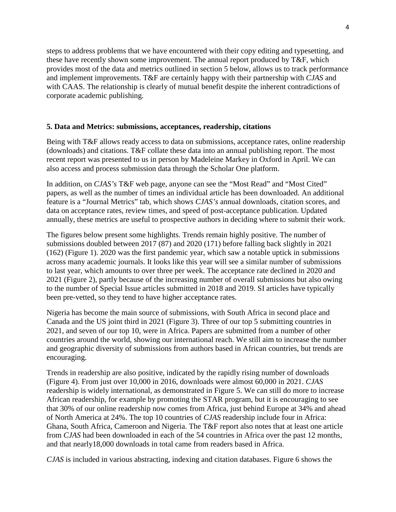steps to address problems that we have encountered with their copy editing and typesetting, and these have recently shown some improvement. The annual report produced by T&F, which provides most of the data and metrics outlined in section 5 below, allows us to track performance and implement improvements. T&F are certainly happy with their partnership with *CJAS* and with CAAS. The relationship is clearly of mutual benefit despite the inherent contradictions of corporate academic publishing.

#### **5. Data and Metrics: submissions, acceptances, readership, citations**

Being with T&F allows ready access to data on submissions, acceptance rates, online readership (downloads) and citations. T&F collate these data into an annual publishing report. The most recent report was presented to us in person by Madeleine Markey in Oxford in April. We can also access and process submission data through the Scholar One platform.

In addition, on *CJAS's* T&F web page, anyone can see the "Most Read" and "Most Cited" papers, as well as the number of times an individual article has been downloaded. An additional feature is a "Journal Metrics" tab, which shows *CJAS's* annual downloads, citation scores, and data on acceptance rates, review times, and speed of post-acceptance publication. Updated annually, these metrics are useful to prospective authors in deciding where to submit their work.

The figures below present some highlights. Trends remain highly positive. The number of submissions doubled between 2017 (87) and 2020 (171) before falling back slightly in 2021 (162) (Figure 1). 2020 was the first pandemic year, which saw a notable uptick in submissions across many academic journals. It looks like this year will see a similar number of submissions to last year, which amounts to over three per week. The acceptance rate declined in 2020 and 2021 (Figure 2), partly because of the increasing number of overall submissions but also owing to the number of Special Issue articles submitted in 2018 and 2019. SI articles have typically been pre-vetted, so they tend to have higher acceptance rates.

Nigeria has become the main source of submissions, with South Africa in second place and Canada and the US joint third in 2021 (Figure 3). Three of our top 5 submitting countries in 2021, and seven of our top 10, were in Africa. Papers are submitted from a number of other countries around the world, showing our international reach. We still aim to increase the number and geographic diversity of submissions from authors based in African countries, but trends are encouraging.

Trends in readership are also positive, indicated by the rapidly rising number of downloads (Figure 4). From just over 10,000 in 2016, downloads were almost 60,000 in 2021. *CJAS* readership is widely international, as demonstrated in Figure 5. We can still do more to increase African readership, for example by promoting the STAR program, but it is encouraging to see that 30% of our online readership now comes from Africa, just behind Europe at 34% and ahead of North America at 24%. The top 10 countries of *CJAS* readership include four in Africa: Ghana, South Africa, Cameroon and Nigeria. The T&F report also notes that at least one article from *CJAS* had been downloaded in each of the 54 countries in Africa over the past 12 months, and that nearly18,000 downloads in total came from readers based in Africa.

*CJAS* is included in various abstracting, indexing and citation databases. Figure 6 shows the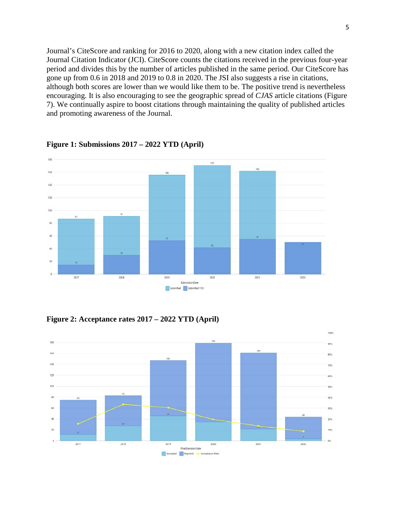Journal's CiteScore and ranking for 2016 to 2020, along with a new citation index called the Journal Citation Indicator (JCI). CiteScore counts the citations received in the previous four-year period and divides this by the number of articles published in the same period. Our CiteScore has gone up from 0.6 in 2018 and 2019 to 0.8 in 2020. The JSI also suggests a rise in citations, although both scores are lower than we would like them to be. The positive trend is nevertheless encouraging. It is also encouraging to see the geographic spread of *CJAS* article citations (Figure 7). We continually aspire to boost citations through maintaining the quality of published articles and promoting awareness of the Journal.



**Figure 1: Submissions 2017 – 2022 YTD (April)**

**Figure 2: Acceptance rates 2017 – 2022 YTD (April)**

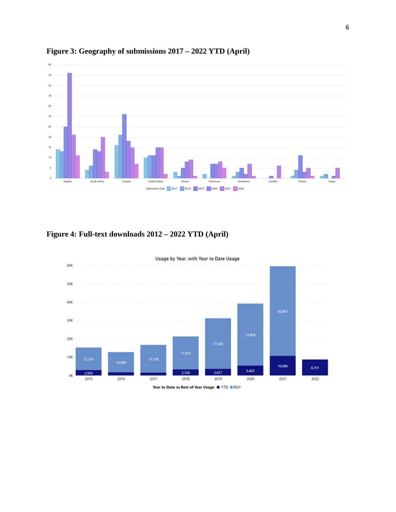

# **Figure 3: Geography of submissions 2017 – 2022 YTD (April)**

# **Figure 4: Full-text downloads 2012 – 2022 YTD (April)**

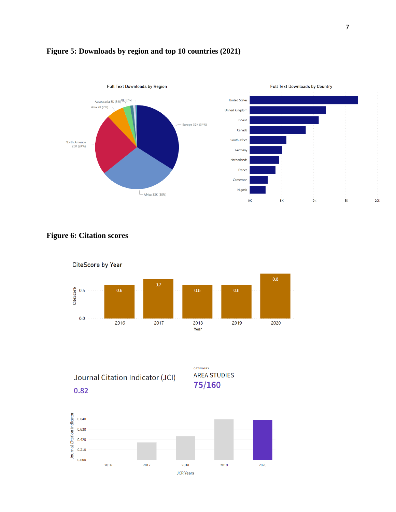

## **Figure 5: Downloads by region and top 10 countries (2021)**





Journal Citation Indicator (JCI)



0.82

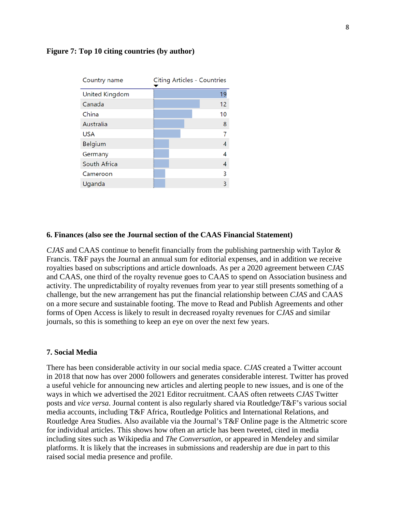#### **Figure 7: Top 10 citing countries (by author)**

| Country name          | <b>Citing Articles - Countries</b> |
|-----------------------|------------------------------------|
| <b>United Kingdom</b> | 19                                 |
| Canada                | 12                                 |
| China                 | 10                                 |
| Australia             | 8                                  |
| <b>USA</b>            |                                    |
| Belgium               | 4                                  |
| Germany               | 4                                  |
| South Africa          | 4                                  |
| Cameroon              | 3                                  |
| Uganda                | 3                                  |

#### **6. Finances (also see the Journal section of the CAAS Financial Statement)**

*CJAS* and CAAS continue to benefit financially from the publishing partnership with Taylor & Francis. T&F pays the Journal an annual sum for editorial expenses, and in addition we receive royalties based on subscriptions and article downloads. As per a 2020 agreement between *CJAS* and CAAS, one third of the royalty revenue goes to CAAS to spend on Association business and activity. The unpredictability of royalty revenues from year to year still presents something of a challenge, but the new arrangement has put the financial relationship between *CJAS* and CAAS on a more secure and sustainable footing. The move to Read and Publish Agreements and other forms of Open Access is likely to result in decreased royalty revenues for *CJAS* and similar journals, so this is something to keep an eye on over the next few years.

#### **7. Social Media**

There has been considerable activity in our social media space. *CJAS* created a Twitter account in 2018 that now has over 2000 followers and generates considerable interest. Twitter has proved a useful vehicle for announcing new articles and alerting people to new issues, and is one of the ways in which we advertised the 2021 Editor recruitment. CAAS often retweets *CJAS* Twitter posts and *vice versa*. Journal content is also regularly shared via Routledge/T&F's various social media accounts, including T&F Africa, Routledge Politics and International Relations, and Routledge Area Studies. Also available via the Journal's T&F Online page is the Altmetric score for individual articles. This shows how often an article has been tweeted, cited in media including sites such as Wikipedia and *The Conversation*, or appeared in Mendeley and similar platforms. It is likely that the increases in submissions and readership are due in part to this raised social media presence and profile.